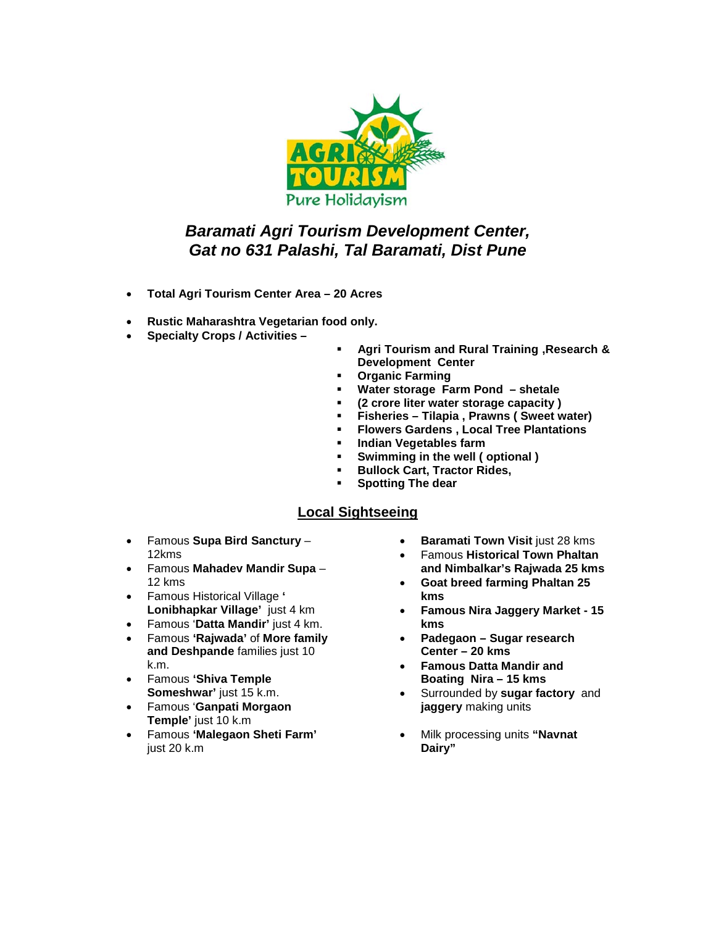

# *Baramati Agri Tourism Development Center, Gat no 631 Palashi, Tal Baramati, Dist Pune*

- **Total Agri Tourism Center Area – 20 Acres**
- **Rustic Maharashtra Vegetarian food only.**
- **Specialty Crops / Activities –**
- **Agri Tourism and Rural Training ,Research & Development Center**
- **Organic Farming**
- 
- **Water storage Farm Pond – shetale (2 crore liter water storage capacity )**
- **Fisheries – Tilapia , Prawns ( Sweet water)**
- **Flowers Gardens , Local Tree Plantations**
- **Indian Vegetables farm**<br>**Bylangia in the well (**
- **Swimming in the well ( optional )**
- **Bullock Cart, Tractor Rides,**
- **Spotting The dear**

### **Local Sightseeing**

- Famous **Supa Bird Sanctury** 12kms
- Famous **Mahadev Mandir Supa** 12 kms
- Famous Historical Village **' Lonibhapkar Village'** just 4 km
- Famous '**Datta Mandir'** just 4 km.
- Famous **'Rajwada'** of **More family and Deshpande** families just 10 k.m.
- Famous **'Shiva Temple Someshwar'** just 15 k.m.
- Famous '**Ganpati Morgaon Temple'** just 10 k.m
- Famous **'Malegaon Sheti Farm'** just 20 k.m.
- **Baramati Town Visit** just 28 kms
- Famous **Historical Town Phaltan and Nimbalkar's Rajwada 25 kms**
- **Goat breed farming Phaltan 25 kms**
- **Famous Nira Jaggery Market - 15 kms**
- **Padegaon – Sugar research Center – 20 kms**
- **Famous Datta Mandir and Boating Nira – 15 kms**
- Surrounded by **sugar factory** and **jaggery** making units
- Milk processing units **"Navnat Dairy"**